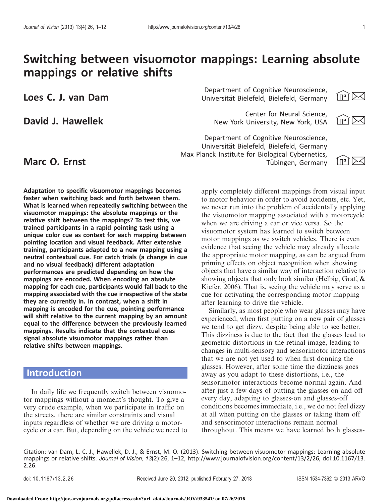# Switching between visuomotor mappings: Learning absolute mappings or relative shifts

**Loes C. J. van Dam 1 1999 Exercise Separtment of Cognitive Neuroscience,**<br>
Universität Bielefeld, Bielefeld, Germany □

Center for Neural Science,<br>
David J. Hawellek **1. A CONFING CONTACT CONTACT CONTACT** New York University, New York, USA





**Marc O. Ernst 1998** Max Planck Institute for Biological Cybernetics,  $\text{This term}$   $\text{This term}$ Department of Cognitive Neuroscience, Universität Bielefeld, Bielefeld, Germany Tübingen, Germany



Adaptation to specific visuomotor mappings becomes faster when switching back and forth between them. What is learned when repeatedly switching between the visuomotor mappings: the absolute mappings or the relative shift between the mappings? To test this, we trained participants in a rapid pointing task using a unique color cue as context for each mapping between pointing location and visual feedback. After extensive training, participants adapted to a new mapping using a neutral contextual cue. For catch trials (a change in cue and no visual feedback) different adaptation performances are predicted depending on how the mappings are encoded. When encoding an absolute mapping for each cue, participants would fall back to the mapping associated with the cue irrespective of the state they are currently in. In contrast, when a shift in mapping is encoded for the cue, pointing performance will shift relative to the current mapping by an amount equal to the difference between the previously learned mappings. Results indicate that the contextual cues signal absolute visuomotor mappings rather than relative shifts between mappings.

## Introduction

In daily life we frequently switch between visuomotor mappings without a moment's thought. To give a very crude example, when we participate in traffic on the streets, there are similar constraints and visual inputs regardless of whether we are driving a motorcycle or a car. But, depending on the vehicle we need to apply completely different mappings from visual input to motor behavior in order to avoid accidents, etc. Yet, we never run into the problem of accidentally applying the visuomotor mapping associated with a motorcycle when we are driving a car or vice versa. So the visuomotor system has learned to switch between motor mappings as we switch vehicles. There is even evidence that seeing the vehicle may already allocate the appropriate motor mapping, as can be argued from priming effects on object recognition when showing objects that have a similar way of interaction relative to showing objects that only look similar (Helbig, Graf, & Kiefer, [2006](#page-11-0)). That is, seeing the vehicle may serve as a cue for activating the corresponding motor mapping after learning to drive the vehicle.

Similarly, as most people who wear glasses may have experienced, when first putting on a new pair of glasses we tend to get dizzy, despite being able to see better. This dizziness is due to the fact that the glasses lead to geometric distortions in the retinal image, leading to changes in multi-sensory and sensorimotor interactions that we are not yet used to when first donning the glasses. However, after some time the dizziness goes away as you adapt to these distortions, i.e., the sensorimotor interactions become normal again. And after just a few days of putting the glasses on and off every day, adapting to glasses-on and glasses-off conditions becomes immediate, i.e., we do not feel dizzy at all when putting on the glasses or taking them off and sensorimotor interactions remain normal throughout. This means we have learned both glasses-

Citation: van Dam, L. C. J., Hawellek, D. J., & Ernst, M. O. (2013). Switching between visuomotor mappings: Learning absolute mappings or relative shifts. Journal of Vision, 13(2):26, 1–12, http://www.journalofvision.org/content/13/2/26, doi:10.1167/13. 2.26.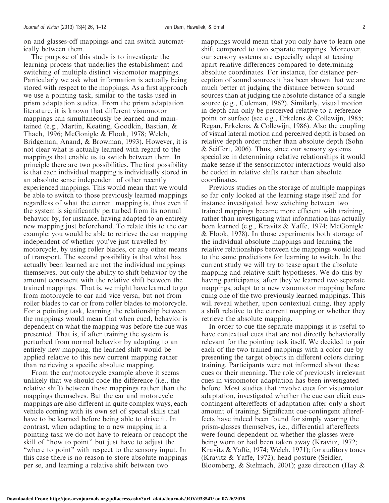on and glasses-off mappings and can switch automatically between them.

The purpose of this study is to investigate the learning process that underlies the establishment and switching of multiple distinct visuomotor mappings. Particularly we ask what information is actually being stored with respect to the mappings. As a first approach we use a pointing task, similar to the tasks used in prism adaptation studies. From the prism adaptation literature, it is known that different visuomotor mappings can simultaneously be learned and maintained (e.g., Martin, Keating, Goodkin, Bastian, & Thach, [1996](#page-11-0); McGonigle & Flook, [1978](#page-11-0); Welch, Bridgeman, Anand, & Browman, [1993](#page-11-0)). However, it is not clear what is actually learned with regard to the mappings that enable us to switch between them. In principle there are two possibilities. The first possibility is that each individual mapping is individually stored in an absolute sense independent of other recently experienced mappings. This would mean that we would be able to switch to those previously learned mappings regardless of what the current mapping is, thus even if the system is significantly perturbed from its normal behavior by, for instance, having adapted to an entirely new mapping just beforehand. To relate this to the car example: you would be able to retrieve the car mapping independent of whether you've just travelled by motorcycle, by using roller blades, or any other means of transport. The second possibility is that what has actually been learned are not the individual mappings themselves, but only the ability to shift behavior by the amount consistent with the relative shift between the trained mappings. That is, we might have learned to go from motorcycle to car and vice versa, but not from roller blades to car or from roller blades to motorcycle. For a pointing task, learning the relationship between the mappings would mean that when cued, behavior is dependent on what the mapping was before the cue was presented. That is, if after training the system is perturbed from normal behavior by adapting to an entirely new mapping, the learned shift would be applied relative to this new current mapping rather than retrieving a specific absolute mapping.

From the car/motorcycle example above it seems unlikely that we should code the difference (i.e., the relative shift) between those mappings rather than the mappings themselves. But the car and motorcycle mappings are also different in quite complex ways, each vehicle coming with its own set of special skills that have to be learned before being able to drive it. In contrast, when adapting to a new mapping in a pointing task we do not have to relearn or readopt the skill of ''how to point'' but just have to adjust the "where to point" with respect to the sensory input. In this case there is no reason to store absolute mappings per se, and learning a relative shift between two

mappings would mean that you only have to learn one shift compared to two separate mappings. Moreover, our sensory systems are especially adept at teasing apart relative differences compared to determining absolute coordinates. For instance, for distance perception of sound sources it has been shown that we are much better at judging the distance between sound sources than at judging the absolute distance of a single source (e.g., Coleman, [1962\)](#page-11-0). Similarly, visual motion in depth can only be perceived relative to a reference point or surface (see e.g., Erkelens & Collewijn, [1985](#page-11-0); Regan, Erkelens, & Collewijn, [1986](#page-11-0)). Also the coupling of visual lateral motion and perceived depth is based on relative depth order rather than absolute depth (Sohn & Seiffert, [2006](#page-11-0)). Thus, since our sensory systems specialize in determining relative relationships it would make sense if the sensorimotor interactions would also be coded in relative shifts rather than absolute coordinates.

Previous studies on the storage of multiple mappings so far only looked at the learning stage itself and for instance investigated how switching between two trained mappings became more efficient with training, rather than investigating what information has actually been learned (e.g., Kravitz & Yaffe, [1974;](#page-11-0) McGonigle & Flook, [1978\)](#page-11-0). In those experiments both storage of the individual absolute mappings and learning the relative relationships between the mappings would lead to the same predictions for learning to switch. In the current study we will try to tease apart the absolute mapping and relative shift hypotheses. We do this by having participants, after they've learned two separate mappings, adapt to a new visuomotor mapping before cuing one of the two previously learned mappings. This will reveal whether, upon contextual cuing, they apply a shift relative to the current mapping or whether they retrieve the absolute mapping.

In order to cue the separate mappings it is useful to have contextual cues that are not directly behaviorally relevant for the pointing task itself. We decided to pair each of the two trained mappings with a color cue by presenting the target objects in different colors during training. Participants were not informed about these cues or their meaning. The role of previously irrelevant cues in visuomotor adaptation has been investigated before. Most studies that involve cues for visuomotor adaptation, investigated whether the cue can elicit cuecontingent aftereffects of adaptation after only a short amount of training. Significant cue-contingent aftereffects have indeed been found for simply wearing the prism-glasses themselves, i.e., differential aftereffects were found dependent on whether the glasses were being worn or had been taken away (Kravitz, [1972;](#page-11-0) Kravitz & Yaffe, [1974;](#page-11-0) Welch, [1971](#page-11-0)); for auditory tones (Kravitz & Yaffe, [1972](#page-11-0)); head posture (Seidler, Bloomberg, & Stelmach, [2001\)](#page-11-0); gaze direction (Hay &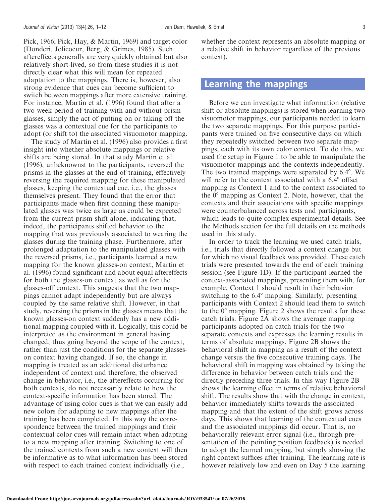Pick, [1966](#page-11-0); Pick, Hay, & Martin, [1969](#page-11-0)) and target color (Donderi, Jolicoeur, Berg, & Grimes, [1985\)](#page-11-0). Such aftereffects generally are very quickly obtained but also relatively short-lived, so from these studies it is not directly clear what this will mean for repeated adaptation to the mappings. There is, however, also strong evidence that cues can become sufficient to switch between mappings after more extensive training. For instance, Martin et al. [\(1996](#page-11-0)) found that after a two-week period of training with and without prism glasses, simply the act of putting on or taking off the glasses was a contextual cue for the participants to adopt (or shift to) the associated visuomotor mapping.

The study of Martin et al. ([1996\)](#page-11-0) also provides a first insight into whether absolute mappings or relative shifts are being stored. In that study Martin et al. ([1996\)](#page-11-0), unbeknownst to the participants, reversed the prisms in the glasses at the end of training, effectively reversing the required mapping for these manipulated glasses, keeping the contextual cue, i.e., the glasses themselves present. They found that the error that participants made when first donning these manipulated glasses was twice as large as could be expected from the current prism shift alone, indicating that, indeed, the participants shifted behavior to the mapping that was previously associated to wearing the glasses during the training phase. Furthermore, after prolonged adaptation to the manipulated glasses with the reversed prisms, i.e., participants learned a new mapping for the known glasses-on context, Martin et al. [\(1996\)](#page-11-0) found significant and about equal aftereffects for both the glasses-on context as well as for the glasses-off context. This suggests that the two mappings cannot adapt independently but are always coupled by the same relative shift. However, in that study, reversing the prisms in the glasses means that the known glasses-on context suddenly has a new additional mapping coupled with it. Logically, this could be interpreted as the environment in general having changed, thus going beyond the scope of the context, rather than just the conditions for the separate glasseson context having changed. If so, the change in mapping is treated as an additional disturbance independent of context and therefore, the observed change in behavior, i.e., the aftereffects occurring for both contexts, do not necessarily relate to how the context-specific information has been stored. The advantage of using color cues is that we can easily add new colors for adapting to new mappings after the training has been completed. In this way the correspondence between the trained mappings and their contextual color cues will remain intact when adapting to a new mapping after training. Switching to one of the trained contexts from such a new context will then be informative as to what information has been stored with respect to each trained context individually (i.e.,

whether the context represents an absolute mapping or a relative shift in behavior regardless of the previous context).

## Learning the mappings

Before we can investigate what information (relative shift or absolute mappings) is stored when learning two visuomotor mappings, our participants needed to learn the two separate mappings. For this purpose participants were trained on five consecutive days on which they repeatedly switched between two separate mappings, each with its own color context. To do this, we used the setup in [Figure 1](#page-3-0) to be able to manipulate the visuomotor mappings and the contexts independently. The two trained mappings were separated by  $6.4^\circ$ . We will refer to the context associated with a  $6.4^{\circ}$  offset mapping as Context 1 and to the context associated to the  $0^{\circ}$  mapping as Context 2. Note, however, that the contexts and their associations with specific mappings were counterbalanced across tests and participants, which leads to quite complex experimental details. See the [Methods](#page-8-0) section for the full details on the methods used in this study.

In order to track the learning we used catch trials, i.e., trials that directly followed a context change but for which no visual feedback was provided. These catch trials were presented towards the end of each training session (see [Figure 1D](#page-3-0)). If the participant learned the context-associated mappings, presenting them with, for example, Context 1 should result in their behavior switching to the  $6.4^\circ$  mapping. Similarly, presenting participants with Context 2 should lead them to switch to the  $0^{\circ}$  mapping. [Figure 2](#page-4-0) shows the results for these catch trials. [Figure 2A](#page-4-0) shows the average mapping participants adopted on catch trials for the two separate contexts and expresses the learning results in terms of absolute mappings. [Figure 2B](#page-4-0) shows the behavioral shift in mapping as a result of the context change versus the five consecutive training days. The behavioral shift in mapping was obtained by taking the difference in behavior between catch trials and the directly preceding three trials. In this way [Figure 2B](#page-4-0) shows the learning effect in terms of relative behavioral shift. The results show that with the change in context, behavior immediately shifts towards the associated mapping and that the extent of the shift grows across days. This shows that learning of the contextual cues and the associated mappings did occur. That is, no behaviorally relevant error signal (i.e., through presentation of the pointing position feedback) is needed to adopt the learned mapping, but simply showing the right context suffices after training. The learning rate is however relatively low and even on Day 5 the learning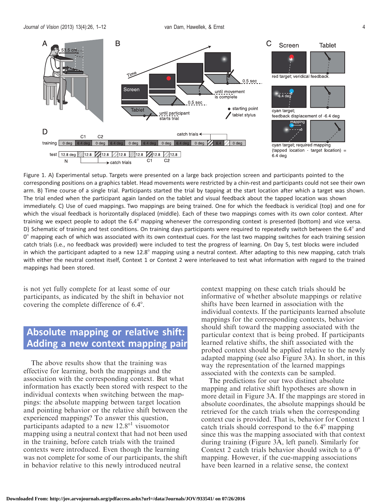<span id="page-3-0"></span>

Figure 1. A) Experimental setup. Targets were presented on a large back projection screen and participants pointed to the corresponding positions on a graphics tablet. Head movements were restricted by a chin-rest and participants could not see their own arm. B) Time course of a single trial. Participants started the trial by tapping at the start location after which a target was shown. The trial ended when the participant again landed on the tablet and visual feedback about the tapped location was shown immediately. C) Use of cued mappings. Two mappings are being trained. One for which the feedback is veridical (top) and one for which the visual feedback is horizontally displaced (middle). Each of these two mappings comes with its own color context. After training we expect people to adopt the  $6.4^{\circ}$  mapping whenever the corresponding context is presented (bottom) and vice versa. D) Schematic of training and test conditions. On training days participants were required to repeatedly switch between the  $6.4^\circ$  and  $0^\circ$  mapping each of which was associated with its own contextual cues. For the last two mapping switches for each training session catch trials (i.e., no feedback was provided) were included to test the progress of learning. On Day 5, test blocks were included in which the participant adapted to a new 12.8 $^{\circ}$  mapping using a neutral context. After adapting to this new mapping, catch trials with either the neutral context itself, Context 1 or Context 2 were interleaved to test what information with regard to the trained mappings had been stored.

is not yet fully complete for at least some of our participants, as indicated by the shift in behavior not covering the complete difference of 6.4<sup>o</sup>.

## Absolute mapping or relative shift: Adding a new context mapping pair

The above results show that the training was effective for learning, both the mappings and the association with the corresponding context. But what information has exactly been stored with respect to the individual contexts when switching between the mappings: the absolute mapping between target location and pointing behavior or the relative shift between the experienced mappings? To answer this question, participants adapted to a new  $12.8^{\circ1}$  $12.8^{\circ1}$  visuomotor mapping using a neutral context that had not been used in the training, before catch trials with the trained contexts were introduced. Even though the learning was not complete for some of our participants, the shift in behavior relative to this newly introduced neutral

context mapping on these catch trials should be informative of whether absolute mappings or relative shifts have been learned in association with the individual contexts. If the participants learned absolute mappings for the corresponding contexts, behavior should shift toward the mapping associated with the particular context that is being probed. If participants learned relative shifts, the shift associated with the probed context should be applied relative to the newly adapted mapping (see also [Figure 3A](#page-5-0)). In short, in this way the representation of the learned mappings associated with the contexts can be sampled.

The predictions for our two distinct absolute mapping and relative shift hypotheses are shown in more detail in [Figure 3A](#page-5-0). If the mappings are stored in absolute coordinates, the absolute mappings should be retrieved for the catch trials when the corresponding context cue is provided. That is, behavior for Context 1 catch trials should correspond to the  $6.4^{\circ}$  mapping since this was the mapping associated with that context during training [\(Figure 3A,](#page-5-0) left panel). Similarly for Context 2 catch trials behavior should switch to a  $0^{\circ}$ mapping. However, if the cue-mapping associations have been learned in a relative sense, the context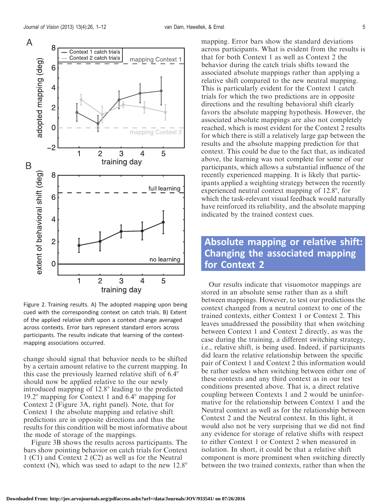<span id="page-4-0"></span>

Figure 2. Training results. A) The adopted mapping upon being cued with the corresponding context on catch trials. B) Extent of the applied relative shift upon a context change averaged across contexts. Error bars represent standard errors across participants. The results indicate that learning of the contextmapping associations occurred.

change should signal that behavior needs to be shifted by a certain amount relative to the current mapping. In this case the previously learned relative shift of  $6.4^{\circ}$ should now be applied relative to the our newly introduced mapping of  $12.8^\circ$  leading to the predicted 19.2 $\degree$  mapping for Context 1 and 6.4 $\degree$  mapping for Context 2 ([Figure 3A](#page-5-0), right panel). Note, that for Context 1 the absolute mapping and relative shift predictions are in opposite directions and thus the results for this condition will be most informative about the mode of storage of the mappings.

[Figure 3B](#page-5-0) shows the results across participants. The bars show pointing behavior on catch trials for Context 1 (C1) and Context 2 (C2) as well as for the Neutral context  $(N)$ , which was used to adapt to the new 12.8 $^{\circ}$ 

mapping. Error bars show the standard deviations across participants. What is evident from the results is that for both Context 1 as well as Context 2 the behavior during the catch trials shifts toward the associated absolute mappings rather than applying a relative shift compared to the new neutral mapping. This is particularly evident for the Context 1 catch trials for which the two predictions are in opposite directions and the resulting behavioral shift clearly favors the absolute mapping hypothesis. However, the associated absolute mappings are also not completely reached, which is most evident for the Context 2 results for which there is still a relatively large gap between the results and the absolute mapping prediction for that context. This could be due to the fact that, as indicated above, the learning was not complete for some of our participants, which allows a substantial influence of the recently experienced mapping. It is likely that participants applied a weighting strategy between the recently experienced neutral context mapping of  $12.8^{\circ}$ , for which the task-relevant visual feedback would naturally have reinforced its reliability, and the absolute mapping indicated by the trained context cues.

## Absolute mapping or relative shift: Changing the associated mapping for Context 2

Our results indicate that visuomotor mappings are stored in an absolute sense rather than as a shift between mappings. However, to test our predictions the context changed from a neutral context to one of the trained contexts, either Context 1 or Context 2. This leaves unaddressed the possibility that when switching between Context 1 and Context 2 directly, as was the case during the training, a different switching strategy, i.e., relative shift, is being used. Indeed, if participants did learn the relative relationship between the specific pair of Context 1 and Context 2 this information would be rather useless when switching between either one of these contexts and any third context as in our test conditions presented above. That is, a direct relative coupling between Contexts 1 and 2 would be uninformative for the relationship between Context 1 and the Neutral context as well as for the relationship between Context 2 and the Neutral context. In this light, it would also not be very surprising that we did not find any evidence for storage of relative shifts with respect to either Context 1 or Context 2 when measured in isolation. In short, it could be that a relative shift component is more prominent when switching directly between the two trained contexts, rather than when the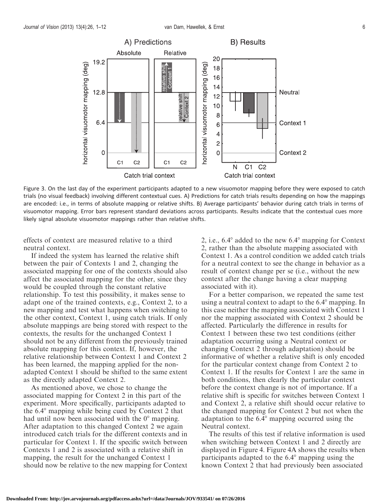<span id="page-5-0"></span>

Figure 3. On the last day of the experiment participants adapted to a new visuomotor mapping before they were exposed to catch trials (no visual feedback) involving different contextual cues. A) Predictions for catch trials results depending on how the mappings are encoded: i.e., in terms of absolute mapping or relative shifts. B) Average participants' behavior during catch trials in terms of visuomotor mapping. Error bars represent standard deviations across participants. Results indicate that the contextual cues more likely signal absolute visuomotor mappings rather than relative shifts.

effects of context are measured relative to a third neutral context.

If indeed the system has learned the relative shift between the pair of Contexts 1 and 2, changing the associated mapping for one of the contexts should also affect the associated mapping for the other, since they would be coupled through the constant relative relationship. To test this possibility, it makes sense to adapt one of the trained contexts, e.g., Context 2, to a new mapping and test what happens when switching to the other context, Context 1, using catch trials. If only absolute mappings are being stored with respect to the contexts, the results for the unchanged Context 1 should not be any different from the previously trained absolute mapping for this context. If, however, the relative relationship between Context 1 and Context 2 has been learned, the mapping applied for the nonadapted Context 1 should be shifted to the same extent as the directly adapted Context 2.

As mentioned above, we chose to change the associated mapping for Context 2 in this part of the experiment. More specifically, participants adapted to the  $6.4^{\circ}$  mapping while being cued by Context 2 that had until now been associated with the  $0^{\circ}$  mapping. After adaptation to this changed Context 2 we again introduced catch trials for the different contexts and in particular for Context 1. If the specific switch between Contexts 1 and 2 is associated with a relative shift in mapping, the result for the unchanged Context 1 should now be relative to the new mapping for Context 2, i.e.,  $6.4^{\circ}$  added to the new  $6.4^{\circ}$  mapping for Context 2, rather than the absolute mapping associated with Context 1. As a control condition we added catch trials for a neutral context to see the change in behavior as a result of context change per se (i.e., without the new context after the change having a clear mapping associated with it).

For a better comparison, we repeated the same test using a neutral context to adapt to the 6.4<sup>o</sup> mapping. In this case neither the mapping associated with Context 1 nor the mapping associated with Context 2 should be affected. Particularly the difference in results for Context 1 between these two test conditions (either adaptation occurring using a Neutral context or changing Context 2 through adaptation) should be informative of whether a relative shift is only encoded for the particular context change from Context 2 to Context 1. If the results for Context 1 are the same in both conditions, then clearly the particular context before the context change is not of importance. If a relative shift is specific for switches between Context 1 and Context 2, a relative shift should occur relative to the changed mapping for Context 2 but not when the adaptation to the  $6.4^\circ$  mapping occurred using the Neutral context.

The results of this test if relative information is used when switching between Context 1 and 2 directly are displayed in [Figure 4](#page-6-0). [Figure 4A](#page-6-0) shows the results when participants adapted to the  $6.4^{\circ}$  mapping using the known Context 2 that had previously been associated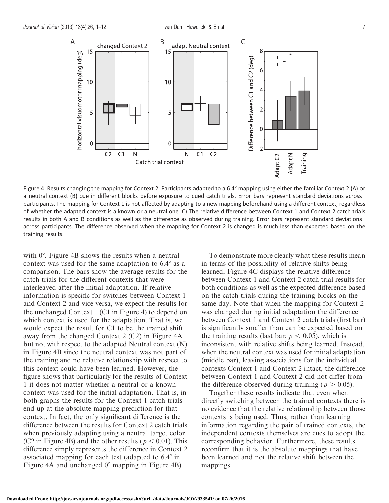<span id="page-6-0"></span>

Figure 4. Results changing the mapping for Context 2. Participants adapted to a 6.4° mapping using either the familiar Context 2 (A) or a neutral context (B) cue in different blocks before exposure to cued catch trials. Error bars represent standard deviations across participants. The mapping for Context 1 is not affected by adapting to a new mapping beforehand using a different context, regardless of whether the adapted context is a known or a neutral one. C) The relative difference between Context 1 and Context 2 catch trials results in both A and B conditions as well as the difference as observed during training. Error bars represent standard deviations across participants. The difference observed when the mapping for Context 2 is changed is much less than expected based on the training results.

with  $0^\circ$ . Figure 4B shows the results when a neutral context was used for the same adaptation to  $6.4^{\circ}$  as a comparison. The bars show the average results for the catch trials for the different contexts that were interleaved after the initial adaptation. If relative information is specific for switches between Context 1 and Context 2 and vice versa, we expect the results for the unchanged Context 1 (C1 in Figure 4) to depend on which context is used for the adaptation. That is, we would expect the result for C1 to be the trained shift away from the changed Context 2 (C2) in Figure 4A but not with respect to the adapted Neutral context (N) in Figure 4B since the neutral context was not part of the training and no relative relationship with respect to this context could have been learned. However, the figure shows that particularly for the results of Context 1 it does not matter whether a neutral or a known context was used for the initial adaptation. That is, in both graphs the results for the Context 1 catch trials end up at the absolute mapping prediction for that context. In fact, the only significant difference is the difference between the results for Context 2 catch trials when previously adapting using a neutral target color (C2 in Figure 4B) and the other results ( $p < 0.01$ ). This difference simply represents the difference in Context 2 associated mapping for each test (adapted to  $6.4^\circ$  in Figure 4A and unchanged  $0^{\circ}$  mapping in Figure 4B).

To demonstrate more clearly what these results mean in terms of the possibility of relative shifts being learned, Figure 4C displays the relative difference between Context 1 and Context 2 catch trial results for both conditions as well as the expected difference based on the catch trials during the training blocks on the same day. Note that when the mapping for Context 2 was changed during initial adaptation the difference between Context 1 and Context 2 catch trials (first bar) is significantly smaller than can be expected based on the training results (last bar;  $p < 0.05$ ), which is inconsistent with relative shifts being learned. Instead, when the neutral context was used for initial adaptation (middle bar), leaving associations for the individual contexts Context 1 and Context 2 intact, the difference between Context 1 and Context 2 did not differ from the difference observed during training ( $p > 0.05$ ).

Together these results indicate that even when directly switching between the trained contexts there is no evidence that the relative relationship between those contexts is being used. Thus, rather than learning information regarding the pair of trained contexts, the independent contexts themselves are cues to adopt the corresponding behavior. Furthermore, these results reconfirm that it is the absolute mappings that have been learned and not the relative shift between the mappings.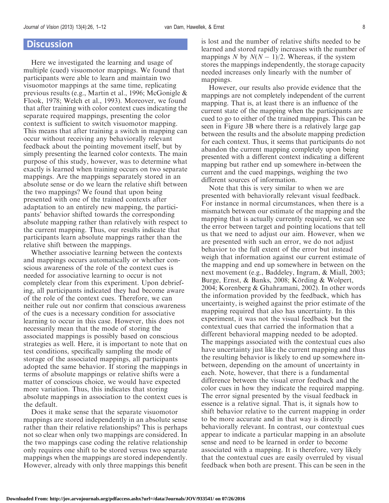### **Discussion**

Here we investigated the learning and usage of multiple (cued) visuomotor mappings. We found that participants were able to learn and maintain two visuomotor mappings at the same time, replicating previous results (e.g., Martin et al., [1996;](#page-11-0) McGonigle & Flook, [1978;](#page-11-0) Welch et al., [1993\)](#page-11-0). Moreover, we found that after training with color context cues indicating the separate required mappings, presenting the color context is sufficient to switch visuomotor mapping. This means that after training a switch in mapping can occur without receiving any behaviorally relevant feedback about the pointing movement itself, but by simply presenting the learned color contexts. The main purpose of this study, however, was to determine what exactly is learned when training occurs on two separate mappings. Are the mappings separately stored in an absolute sense or do we learn the relative shift between the two mappings? We found that upon being presented with one of the trained contexts after adaptation to an entirely new mapping, the participants' behavior shifted towards the corresponding absolute mapping rather than relatively with respect to the current mapping. Thus, our results indicate that participants learn absolute mappings rather than the relative shift between the mappings.

Whether associative learning between the contexts and mappings occurs automatically or whether conscious awareness of the role of the context cues is needed for associative learning to occur is not completely clear from this experiment. Upon debriefing, all participants indicated they had become aware of the role of the context cues. Therefore, we can neither rule out nor confirm that conscious awareness of the cues is a necessary condition for associative learning to occur in this case. However, this does not necessarily mean that the mode of storing the associated mappings is possibly based on conscious strategies as well. Here, it is important to note that on test conditions, specifically sampling the mode of storage of the associated mappings, all participants adopted the same behavior. If storing the mappings in terms of absolute mappings or relative shifts were a matter of conscious choice, we would have expected more variation. Thus, this indicates that storing absolute mappings in association to the context cues is the default.

Does it make sense that the separate visuomotor mappings are stored independently in an absolute sense rather than their relative relationships? This is perhaps not so clear when only two mappings are considered. In the two mappings case coding the relative relationship only requires one shift to be stored versus two separate mappings when the mappings are stored independently. However, already with only three mappings this benefit is lost and the number of relative shifts needed to be learned and stored rapidly increases with the number of mappings N by  $N(N-1)/2$ . Whereas, if the system stores the mappings independently, the storage capacity needed increases only linearly with the number of mappings.

However, our results also provide evidence that the mappings are not completely independent of the current mapping. That is, at least there is an influence of the current state of the mapping when the participants are cued to go to either of the trained mappings. This can be seen in [Figure 3B](#page-5-0) where there is a relatively large gap between the results and the absolute mapping prediction for each context. Thus, it seems that participants do not abandon the current mapping completely upon being presented with a different context indicating a different mapping but rather end up somewhere in-between the current and the cued mappings, weighing the two different sources of information.

Note that this is very similar to when we are presented with behaviorally relevant visual feedback. For instance in normal circumstances, when there is a mismatch between our estimate of the mapping and the mapping that is actually currently required, we can see the error between target and pointing locations that tell us that we need to adjust our aim. However, when we are presented with such an error, we do not adjust behavior to the full extent of the error but instead weigh that information against our current estimate of the mapping and end up somewhere in between on the next movement (e.g., Baddeley, Ingram, & Miall, [2003](#page-11-0); Burge, Ernst, & Banks, [2008](#page-11-0); Körding & Wolpert, [2004;](#page-11-0) Korenberg & Ghahramani, [2002\)](#page-11-0). In other words the information provided by the feedback, which has uncertainty, is weighed against the prior estimate of the mapping required that also has uncertainty. In this experiment, it was not the visual feedback but the contextual cues that carried the information that a different behavioral mapping needed to be adopted. The mappings associated with the contextual cues also have uncertainty just like the current mapping and thus the resulting behavior is likely to end up somewhere inbetween, depending on the amount of uncertainty in each. Note, however, that there is a fundamental difference between the visual error feedback and the color cues in how they indicate the required mapping. The error signal presented by the visual feedback in essence is a relative signal. That is, it signals how to shift behavior relative to the current mapping in order to be more accurate and in that way is directly behaviorally relevant. In contrast, our contextual cues appear to indicate a particular mapping in an absolute sense and need to be learned in order to become associated with a mapping. It is therefore, very likely that the contextual cues are easily overruled by visual feedback when both are present. This can be seen in the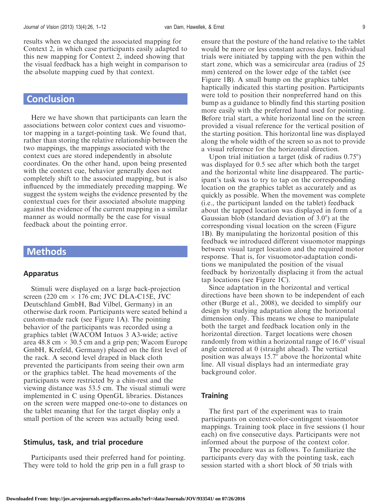<span id="page-8-0"></span>results when we changed the associated mapping for Context 2, in which case participants easily adapted to this new mapping for Context 2, indeed showing that the visual feedback has a high weight in comparison to the absolute mapping cued by that context.

## **Conclusion**

Here we have shown that participants can learn the associations between color context cues and visuomotor mapping in a target-pointing task. We found that, rather than storing the relative relationship between the two mappings, the mappings associated with the context cues are stored independently in absolute coordinates. On the other hand, upon being presented with the context cue, behavior generally does not completely shift to the associated mapping, but is also influenced by the immediately preceding mapping. We suggest the system weighs the evidence presented by the contextual cues for their associated absolute mapping against the evidence of the current mapping in a similar manner as would normally be the case for visual feedback about the pointing error.

### Methods

#### Apparatus

Stimuli were displayed on a large back-projection screen (220 cm  $\times$  176 cm; JVC DLA-C15E, JVC Deutschland GmbH, Bad Vilbel, Germany) in an otherwise dark room. Participants were seated behind a custom-made rack (see [Figure 1A\)](#page-3-0). The pointing behavior of the participants was recorded using a graphics tablet (WACOM Intuos 3 A3-wide; active area 48.8 cm  $\times$  30.5 cm and a grip pen; Wacom Europe GmbH, Krefeld, Germany) placed on the first level of the rack. A second level draped in black cloth prevented the participants from seeing their own arm or the graphics tablet. The head movements of the participants were restricted by a chin-rest and the viewing distance was 53.5 cm. The visual stimuli were implemented in C using OpenGL libraries. Distances on the screen were mapped one-to-one to distances on the tablet meaning that for the target display only a small portion of the screen was actually being used.

#### Stimulus, task, and trial procedure

Participants used their preferred hand for pointing. They were told to hold the grip pen in a full grasp to

ensure that the posture of the hand relative to the tablet would be more or less constant across days. Individual trials were initiated by tapping with the pen within the start zone, which was a semicircular area (radius of 25 mm) centered on the lower edge of the tablet (see [Figure 1B](#page-3-0)). A small bump on the graphics tablet haptically indicated this starting position. Participants were told to position their nonpreferred hand on this bump as a guidance to blindly find this starting position more easily with the preferred hand used for pointing. Before trial start, a white horizontal line on the screen provided a visual reference for the vertical position of the starting position. This horizontal line was displayed along the whole width of the screen so as not to provide a visual reference for the horizontal direction.

Upon trial initiation a target (disk of radius  $0.75^{\circ}$ ) was displayed for 0.5 sec after which both the target and the horizontal white line disappeared. The participant's task was to try to tap on the corresponding location on the graphics tablet as accurately and as quickly as possible. When the movement was complete (i.e., the participant landed on the tablet) feedback about the tapped location was displayed in form of a Gaussian blob (standard deviation of  $3.0^{\circ}$ ) at the corresponding visual location on the screen ([Figure](#page-3-0) [1B\)](#page-3-0). By manipulating the horizontal position of this feedback we introduced different visuomotor mappings between visual target location and the required motor response. That is, for visuomotor-adaptation conditions we manipulated the position of the visual feedback by horizontally displacing it from the actual tap locations (see [Figure 1C](#page-3-0)).

Since adaptation in the horizontal and vertical directions have been shown to be independent of each other (Burge et al., [2008](#page-11-0)), we decided to simplify our design by studying adaptation along the horizontal dimension only. This means we chose to manipulate both the target and feedback location only in the horizontal direction. Target locations were chosen randomly from within a horizontal range of  $16.0^{\circ}$  visual angle centered at 0 (straight ahead). The vertical position was always  $15.7^\circ$  above the horizontal white line. All visual displays had an intermediate gray background color.

#### **Training**

The first part of the experiment was to train participants on context-color-contingent visuomotor mappings. Training took place in five sessions (1 hour each) on five consecutive days. Participants were not informed about the purpose of the context color.

The procedure was as follows. To familiarize the participants every day with the pointing task, each session started with a short block of 50 trials with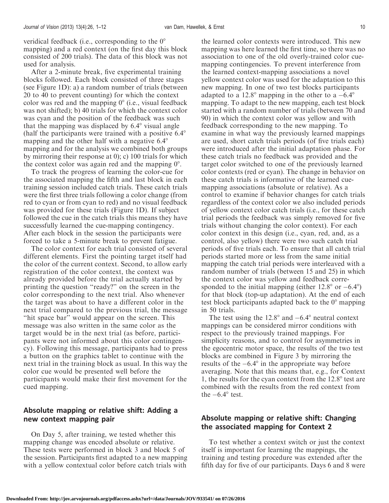veridical feedback (i.e., corresponding to the  $0^{\circ}$ mapping) and a red context (on the first day this block consisted of 200 trials). The data of this block was not used for analysis.

After a 2-minute break, five experimental training blocks followed. Each block consisted of three stages (see [Figure 1D\)](#page-3-0): a) a random number of trials (between 20 to 40 to prevent counting) for which the context color was red and the mapping  $0^{\circ}$  (i.e., visual feedback was not shifted); b) 40 trials for which the context color was cyan and the position of the feedback was such that the mapping was displaced by  $6.4^{\circ}$  visual angle (half the participants were trained with a positive  $6.4^{\circ}$ mapping and the other half with a negative  $6.4^{\circ}$ mapping and for the analysis we combined both groups by mirroring their response at 0); c) 100 trials for which the context color was again red and the mapping  $0^\circ$ .

To track the progress of learning the color-cue for the associated mapping the fifth and last block in each training session included catch trials. These catch trials were the first three trials following a color change (from red to cyan or from cyan to red) and no visual feedback was provided for these trials ([Figure 1D\)](#page-3-0). If subject followed the cue in the catch trials this means they have successfully learned the cue-mapping contingency. After each block in the session the participants were forced to take a 5-minute break to prevent fatigue.

The color context for each trial consisted of several different elements. First the pointing target itself had the color of the current context. Second, to allow early registration of the color context, the context was already provided before the trial actually started by printing the question ''ready?'' on the screen in the color corresponding to the next trial. Also whenever the target was about to have a different color in the next trial compared to the previous trial, the message "hit space bar" would appear on the screen. This message was also written in the same color as the target would be in the next trial (as before, participants were not informed about this color contingency). Following this message, participants had to press a button on the graphics tablet to continue with the next trial in the training block as usual. In this way the color cue would be presented well before the participants would make their first movement for the cued mapping.

#### Absolute mapping or relative shift: Adding a new context mapping pair

On Day 5, after training, we tested whether this mapping change was encoded absolute or relative. These tests were performed in block 3 and block 5 of the session. Participants first adapted to a new mapping with a yellow contextual color before catch trials with

the learned color contexts were introduced. This new mapping was here learned the first time, so there was no association to one of the old overly-trained color cuemapping contingencies. To prevent interference from the learned context-mapping associations a novel yellow context color was used for the adaptation to this new mapping. In one of two test blocks participants adapted to a 12.8 $^{\circ}$  mapping in the other to a -6.4 $^{\circ}$ mapping. To adapt to the new mapping, each test block started with a random number of trials (between 70 and 90) in which the context color was yellow and with feedback corresponding to the new mapping. To examine in what way the previously learned mappings are used, short catch trials periods (of five trials each) were introduced after the initial adaptation phase. For these catch trials no feedback was provided and the target color switched to one of the previously learned color contexts (red or cyan). The change in behavior on these catch trials is informative of the learned cuemapping associations (absolute or relative). As a control to examine if behavior changes for catch trials regardless of the context color we also included periods of yellow context color catch trials (i.e., for these catch trial periods the feedback was simply removed for five trials without changing the color context). For each color context in this design (i.e., cyan, red, and, as a control, also yellow) there were two such catch trial periods of five trials each. To ensure that all catch trial periods started more or less from the same initial mapping the catch trial periods were interleaved with a random number of trials (between 15 and 25) in which the context color was yellow and feedback corresponded to the initial mapping (either  $12.8^{\circ}$  or  $-6.4^{\circ}$ ) for that block (top-up adaptation). At the end of each test block participants adapted back to the  $0^{\circ}$  mapping in 50 trials.

The test using the  $12.8^{\circ}$  and  $-6.4^{\circ}$  neutral context mappings can be considered mirror conditions with respect to the previously trained mappings. For simplicity reasons, and to control for asymmetries in the egocentric motor space, the results of the two test blocks are combined in [Figure 3](#page-5-0) by mirroring the results of the  $-6.4^{\circ}$  in the appropriate way before averaging. Note that this means that, e.g., for Context 1, the results for the cyan context from the  $12.8^{\circ}$  test are combined with the results from the red context from the  $-6.4^{\circ}$  test.

#### Absolute mapping or relative shift: Changing the associated mapping for Context 2

To test whether a context switch or just the context itself is important for learning the mappings, the training and testing procedure was extended after the fifth day for five of our participants. Days 6 and 8 were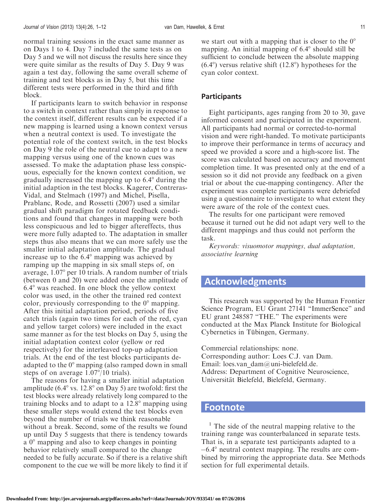<span id="page-10-0"></span>normal training sessions in the exact same manner as on Days 1 to 4. Day 7 included the same tests as on Day 5 and we will not discuss the results here since they were quite similar as the results of Day 5. Day 9 was again a test day, following the same overall scheme of training and test blocks as in Day 5, but this time different tests were performed in the third and fifth block.

If participants learn to switch behavior in response to a switch in context rather than simply in response to the context itself, different results can be expected if a new mapping is learned using a known context versus when a neutral context is used. To investigate the potential role of the context switch, in the test blocks on Day 9 the role of the neutral cue to adapt to a new mapping versus using one of the known cues was assessed. To make the adaptation phase less conspicuous, especially for the known context condition, we gradually increased the mapping up to  $6.4^{\circ}$  during the initial adaption in the test blocks. Kagerer, Contreras-Vidal, and Stelmach [\(1997](#page-11-0)) and Michel, Pisella, Prablanc, Rode, and Rossetti [\(2007\)](#page-11-0) used a similar gradual shift paradigm for rotated feedback conditions and found that changes in mapping were both less conspicuous and led to bigger aftereffects, thus were more fully adapted to. The adaptation in smaller steps thus also means that we can more safely use the smaller initial adaptation amplitude. The gradual increase up to the  $6.4^{\circ}$  mapping was achieved by ramping up the mapping in six small steps of, on average,  $1.07^{\circ}$  per 10 trials. A random number of trials (between 0 and 20) were added once the amplitude of  $6.4^{\circ}$  was reached. In one block the yellow context color was used, in the other the trained red context color, previously corresponding to the  $0^{\circ}$  mapping. After this initial adaptation period, periods of five catch trials (again two times for each of the red, cyan and yellow target colors) were included in the exact same manner as for the test blocks on Day 5, using the initial adaptation context color (yellow or red respectively) for the interleaved top-up adaptation trials. At the end of the test blocks participants deadapted to the  $0^{\circ}$  mapping (also ramped down in small steps of on average  $1.07^{\circ}/10$  trials).

The reasons for having a smaller initial adaptation amplitude (6.4 $\degree$  vs. 12.8 $\degree$  on Day 5) are twofold: first the test blocks were already relatively long compared to the training blocks and to adapt to a  $12.8^{\circ}$  mapping using these smaller steps would extend the test blocks even beyond the number of trials we think reasonable without a break. Second, some of the results we found up until Day 5 suggests that there is tendency towards a  $0^{\circ}$  mapping and also to keep changes in pointing behavior relatively small compared to the change needed to be fully accurate. So if there is a relative shift component to the cue we will be more likely to find it if

we start out with a mapping that is closer to the  $0^{\circ}$ mapping. An initial mapping of  $6.4^\circ$  should still be sufficient to conclude between the absolute mapping  $(6.4^{\circ})$  versus relative shift  $(12.8^{\circ})$  hypotheses for the cyan color context.

#### Participants

Eight participants, ages ranging from 20 to 30, gave informed consent and participated in the experiment. All participants had normal or corrected-to-normal vision and were right-handed. To motivate participants to improve their performance in terms of accuracy and speed we provided a score and a high-score list. The score was calculated based on accuracy and movement completion time. It was presented only at the end of a session so it did not provide any feedback on a given trial or about the cue-mapping contingency. After the experiment was complete participants were debriefed using a questionnaire to investigate to what extent they were aware of the role of the context cues.

The results for one participant were removed because it turned out he did not adapt very well to the different mappings and thus could not perform the task.

Keywords: visuomotor mappings, dual adaptation, associative learning

### Acknowledgments

This research was supported by the Human Frontier Science Program, EU Grant 27141 ''ImmerSence'' and EU grant 248587 ''THE.'' The experiments were conducted at the Max Planck Institute for Biological Cybernetics in Tübingen, Germany.

Commercial relationships: none. Corresponding author: Loes C.J. van Dam. Email: loes.van dam@uni-bielefeld.de. Address: Department of Cognitive Neuroscience, Universitat Bielefeld, Bielefeld, Germany. ¨

### Footnote

 $<sup>1</sup>$  The side of the neutral mapping relative to the</sup> training range was counterbalanced in separate tests. That is, in a separate test participants adapted to a  $-6.4^{\circ}$  neutral context mapping. The results are combined by mirroring the appropriate data. See Methods section for full experimental details.